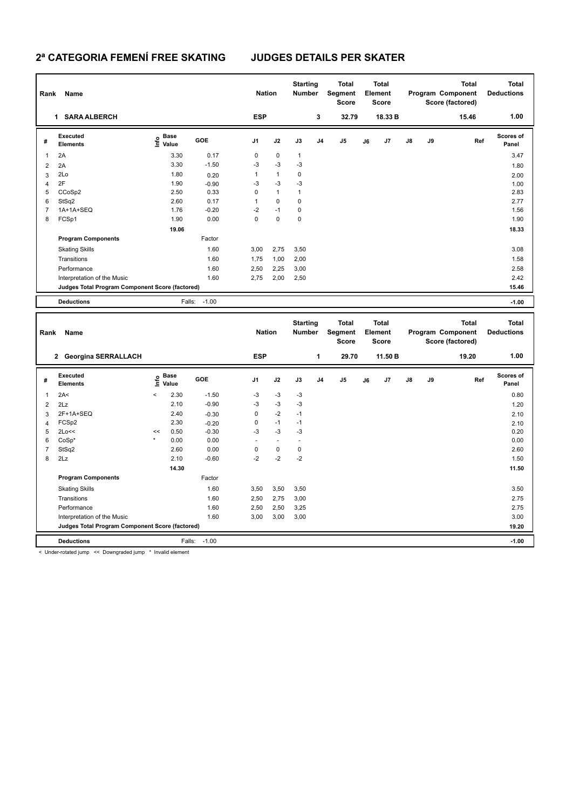## **2ª CATEGORIA FEMENÍ FREE SKATING JUDGES DETAILS PER SKATER**

| Rank                                            | Name                        |                                  | <b>Nation</b> |                | <b>Starting</b><br><b>Number</b> | <b>Total</b><br><b>Total</b><br>Segment<br>Element<br><b>Score</b><br><b>Score</b> |                | <b>Total</b><br>Program Component<br>Score (factored) |    |                | <b>Total</b><br><b>Deductions</b> |       |       |                           |
|-------------------------------------------------|-----------------------------|----------------------------------|---------------|----------------|----------------------------------|------------------------------------------------------------------------------------|----------------|-------------------------------------------------------|----|----------------|-----------------------------------|-------|-------|---------------------------|
|                                                 | <b>SARA ALBERCH</b><br>1    |                                  |               | <b>ESP</b>     |                                  |                                                                                    | 3              | 32.79                                                 |    | 18.33 B        |                                   |       | 15.46 | 1.00                      |
| #                                               | Executed<br><b>Elements</b> | <b>Base</b><br>o Base<br>⊆ Value | <b>GOE</b>    | J <sub>1</sub> | J2                               | J3                                                                                 | J <sub>4</sub> | J <sub>5</sub>                                        | J6 | J <sub>7</sub> | $\mathsf{J}8$                     | J9    | Ref   | <b>Scores of</b><br>Panel |
| 1                                               | 2A                          | 3.30                             | 0.17          | 0              | $\mathbf 0$                      | $\mathbf{1}$                                                                       |                |                                                       |    |                |                                   |       |       | 3.47                      |
| $\overline{2}$                                  | 2A                          | 3.30                             | $-1.50$       | $-3$           | $-3$                             | $-3$                                                                               |                |                                                       |    |                |                                   |       |       | 1.80                      |
| 3                                               | 2Lo                         | 1.80                             | 0.20          | $\mathbf{1}$   | $\mathbf{1}$                     | 0                                                                                  |                |                                                       |    |                |                                   |       |       | 2.00                      |
| $\overline{4}$                                  | 2F                          | 1.90                             | $-0.90$       | $-3$           | $-3$                             | $-3$                                                                               |                |                                                       |    |                |                                   |       |       | 1.00                      |
| 5                                               | CCoSp2                      | 2.50                             | 0.33          | 0              | $\mathbf{1}$                     | 1                                                                                  |                |                                                       |    |                |                                   |       |       | 2.83                      |
| 6                                               | StSq2                       | 2.60                             | 0.17          | 1              | $\mathbf 0$                      | 0                                                                                  |                |                                                       |    |                |                                   |       |       | 2.77                      |
| $\overline{7}$                                  | 1A+1A+SEQ                   | 1.76                             | $-0.20$       | $-2$           | $-1$                             | 0                                                                                  |                |                                                       |    |                |                                   |       |       | 1.56                      |
| 8                                               | FCSp1                       | 1.90                             | 0.00          | 0              | $\mathbf 0$                      | $\mathbf 0$                                                                        |                |                                                       |    |                |                                   |       |       | 1.90                      |
|                                                 |                             |                                  |               |                |                                  |                                                                                    |                |                                                       |    |                |                                   | 18.33 |       |                           |
|                                                 | <b>Program Components</b>   |                                  | Factor        |                |                                  |                                                                                    |                |                                                       |    |                |                                   |       |       |                           |
|                                                 | <b>Skating Skills</b>       |                                  | 1.60          | 3,00           | 2,75                             | 3,50                                                                               |                |                                                       |    |                |                                   |       |       | 3.08                      |
|                                                 | Transitions                 |                                  | 1.60          | 1,75           | 1,00                             | 2,00                                                                               |                |                                                       |    |                |                                   |       |       | 1.58                      |
|                                                 | Performance                 |                                  | 1.60          | 2,50           | 2,25                             | 3,00                                                                               |                |                                                       |    |                |                                   |       |       | 2.58                      |
|                                                 | Interpretation of the Music |                                  | 1.60          | 2,75           | 2,00                             | 2,50                                                                               |                |                                                       |    |                |                                   |       |       | 2.42                      |
| Judges Total Program Component Score (factored) |                             |                                  |               |                |                                  |                                                                                    |                |                                                       |    |                |                                   | 15.46 |       |                           |
|                                                 | <b>Deductions</b>           | Falls:                           | $-1.00$       |                |                                  |                                                                                    |                |                                                       |    |                |                                   |       |       | $-1.00$                   |

| Rank<br>Name   |                                                 |         |                      |         |                | <b>Nation</b>            |      | <b>Starting</b><br><b>Number</b> | <b>Total</b><br><b>Total</b><br>Segment<br>Element<br><b>Score</b><br><b>Score</b> |    | <b>Total</b><br>Program Component<br>Score (factored) |               |    | Total<br><b>Deductions</b> |                           |
|----------------|-------------------------------------------------|---------|----------------------|---------|----------------|--------------------------|------|----------------------------------|------------------------------------------------------------------------------------|----|-------------------------------------------------------|---------------|----|----------------------------|---------------------------|
|                | 2 Georgina SERRALLACH                           |         |                      |         | <b>ESP</b>     |                          |      | 1                                | 29.70                                                                              |    | 11.50 B                                               |               |    | 19.20                      | 1.00                      |
| #              | Executed<br><b>Elements</b>                     | ١nf٥    | <b>Base</b><br>Value | GOE     | J <sub>1</sub> | J2                       | J3   | J <sub>4</sub>                   | J <sub>5</sub>                                                                     | J6 | J <sub>7</sub>                                        | $\mathsf{J}8$ | J9 | Ref                        | <b>Scores of</b><br>Panel |
| $\overline{1}$ | 2A<                                             | $\prec$ | 2.30                 | $-1.50$ | -3             | $-3$                     | $-3$ |                                  |                                                                                    |    |                                                       |               |    |                            | 0.80                      |
| 2              | 2Lz                                             |         | 2.10                 | $-0.90$ | -3             | $-3$                     | $-3$ |                                  |                                                                                    |    |                                                       |               |    |                            | 1.20                      |
| 3              | 2F+1A+SEQ                                       |         | 2.40                 | $-0.30$ | 0              | $-2$                     | $-1$ |                                  |                                                                                    |    |                                                       |               |    |                            | 2.10                      |
| 4              | FCSp2                                           |         | 2.30                 | $-0.20$ | 0              | $-1$                     | $-1$ |                                  |                                                                                    |    |                                                       |               |    |                            | 2.10                      |
| 5              | 2Lo<<                                           | <<      | 0.50                 | $-0.30$ | $-3$           | $-3$                     | -3   |                                  |                                                                                    |    |                                                       |               |    |                            | 0.20                      |
| 6              | $CoSp*$                                         | $\star$ | 0.00                 | 0.00    | ٠              | $\overline{\phantom{a}}$ |      |                                  |                                                                                    |    |                                                       |               |    |                            | 0.00                      |
| $\overline{7}$ | StSq2                                           |         | 2.60                 | 0.00    | 0              | $\mathbf 0$              | 0    |                                  |                                                                                    |    |                                                       |               |    |                            | 2.60                      |
| 8              | 2Lz                                             |         | 2.10                 | $-0.60$ | $-2$           | $-2$                     | $-2$ |                                  |                                                                                    |    |                                                       |               |    |                            | 1.50                      |
|                |                                                 |         | 14.30                |         |                |                          |      |                                  |                                                                                    |    |                                                       |               |    |                            | 11.50                     |
|                | <b>Program Components</b>                       |         |                      | Factor  |                |                          |      |                                  |                                                                                    |    |                                                       |               |    |                            |                           |
|                | <b>Skating Skills</b>                           |         |                      | 1.60    | 3,50           | 3,50                     | 3,50 |                                  |                                                                                    |    |                                                       |               |    |                            | 3.50                      |
|                | Transitions                                     |         |                      | 1.60    | 2,50           | 2,75                     | 3,00 |                                  |                                                                                    |    |                                                       |               |    |                            | 2.75                      |
|                | Performance                                     |         |                      | 1.60    | 2,50           | 2,50                     | 3,25 |                                  |                                                                                    |    |                                                       |               |    |                            | 2.75                      |
|                | Interpretation of the Music                     |         |                      | 1.60    | 3,00           | 3,00                     | 3,00 |                                  |                                                                                    |    |                                                       |               |    |                            | 3.00                      |
|                | Judges Total Program Component Score (factored) |         |                      |         |                |                          |      |                                  |                                                                                    |    |                                                       |               |    |                            | 19.20                     |
|                | <b>Deductions</b>                               |         | Falls:               | $-1.00$ |                |                          |      |                                  |                                                                                    |    |                                                       |               |    |                            | $-1.00$                   |

< Under-rotated jump << Downgraded jump \* Invalid element